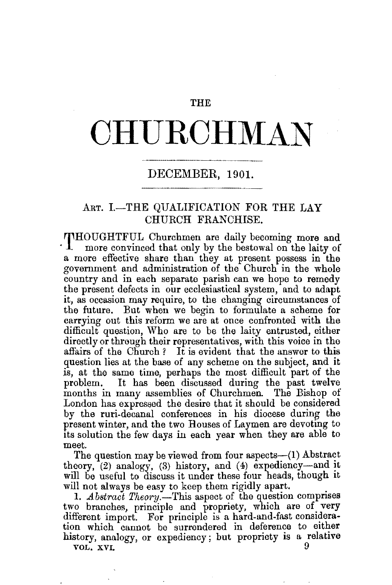## THE

## **CHURCHMAN**

## DECEMBER, 1901.

## ART. I.-THE QUALIFICATION FOR THE LAY CHURCH FRANCHISE.

THOUGHTFUL Churchmen are daily becoming more and more convinced that only by the bestowal on the laity of a more effective share than they at present possess in the government and administration of the Church in the whole country and in each separate parish can we hope to remedy the present defects in our ecclesiastical system, and to adapt it, as occasion may require, to the changing circumstances of the future. But when we begin to formulate a scheme for carrying out this reform we are at once confronted with the difficult question, Who are to be the laity entrusted, either directly or through their representatives, with this voice in the affairs of the Church? It is evident that the answer to this question lies at the base of any scheme on the subject, and it is, at the same time, perhaps the most difficult part of the problem. It has been discussed during the past twelve months in many assemblies of Churchmen. The Bishop of London has expressed the desire that it should be considered by the ruri-decanal conferences in his diocese during the present winter, and the two Houses of Laymen are devoting to its solution the few days in each year when they are able to meet.

The question may be viewed from four aspects- $(1)$  Abstract theory,  $(2)$  analogy,  $(3)$  history, and  $(4)$  expediency-and it will be useful to discuss it under these four heads, though it will not always be easy to keep them rigidly apart.

1. *Abstract Theory.*-This aspect of the question comprises two branches, principle and propriety, which are of very different import. For principle is a hard-and-fast consideration which cannot be surrendered in deference to either history, analogy, or expediency; but propriety is a relative VOL. XVI. 9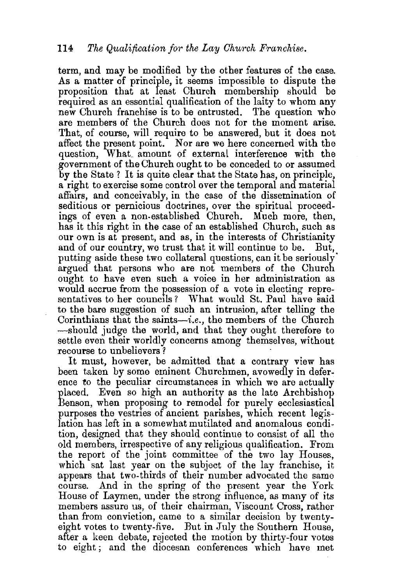term, and may be modified by the other features of the case. As a matter of principle, it seems impossible to dispute the proposition that at least Church membership should be required as an essential qualification of the laity to whom any new Church franchise is to be entrusted. The question who are members of the Church does not for the moment arise. That, of course, will require to be answered, but it does not affect the present point. Nor are we here concerned with the question, What. amount of external interference with the government of the Church ought to be conceded to or assumed by the State ? It is quite clear that the State has, on principle, a right to exercise some control over the temporal and material affairs, and conceivably, in the case of the dissemination of seditious or pernicious doctrines, over the spiritual proceedings of even a non.established Church. Much more, then, has it this right in the case of an established Church, such as our own is at present, and as, in the interests of Christianity and of our country, we trust that it will continue to be. But, and of our country, we trust that it will continue to be. putting aside these two collateral questions, can it be seriously· argued that persons who are not members of the Church ought to have even such a voice in her administration as would accrue from the possession of a vote in electing representatives to her councils? What would St. Paul have said to the bare suggestion of such an intrusion, after telling the Corinthians that the saints-i.e., the members of the Church -should judge the world, and that they ought therefore to settle even their worldly concerns among themselves, without recourse to unbelievers ?

It must, however, be admitted that a contrary view has been taken by some eminent Churchmen, avowedly in deference to the peculiar circumstances in which we are actually placed. Even so high an authority as the late Archbishop Benson, when proposing to remodel for purely ecclesiastical purposes the vestries of ancient parishes, which recent legislation has left in a somewhat mutilated and anomalous condition, designed that they should continue to consist of all the old members, irrespective of any religious qualification. From the report of the joint committee of the two lay Houses, which sat last year on the subject of the lay franchise, it appears that two-thirds of their number advocated the same course. And in the spring of the present year the York House of Laymen, under the strong influence, as many of its members assure us, of their chairman, Viscount Cross, rather than from conviction, came to a similar decision by twentyeight votes to twenty-five. But in July the Southern House, after a keen debate, rejected the motion by thirty-four votes to eight ; and the diocesan conferences which have met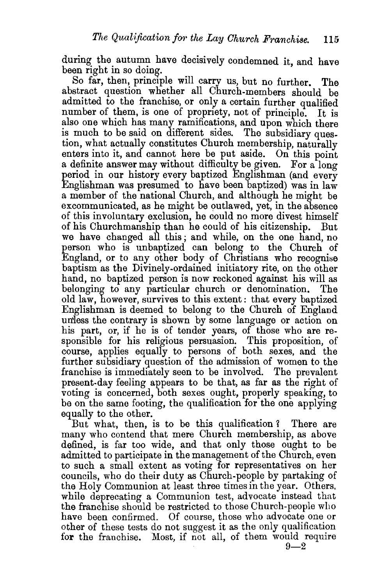during the autumn have decisively condemned it, and have been right in so doing.

So far, then, principle will carry us, but no further. The abstract question whether all Church-members should be admitted to the franchise, or only a certain further qualified number of them, is one of propriety, not of principle. It is also one which has many ramifications, and upon which there is much to be said on different sides. The subsidiary question, what actually constitutes Church membership, naturally enters into it, and cannot here be put aside. On this point a definite answer may without difficulty be given. For a long period in our history every baptized Englishman (and every Englishman was presumed to have been baptized) was in  $\mathbf{law}$ a member of the national Church, and although he might be excommunicated, as he might be outlawed, yet, in the absence of this involuntary exclusion, he could no more divest himself of his Churchmanship than he could of his citizenship. But we have changed all this; and while, on the one hand, no person who is unbaptized can belong to the Church of England, or to any other body of Christians who recognise baptism as the Divinely-ordained initiatory rite, on the other hand, no baptized person is now reckoned against his will as belonging to any particular church or denomination. The old law, however, survives to this extent: that every baptized Englishman is deemed to belong to the Church of England un'less the contrary is shown by some language or action on his part, or, if he is of tender years, of those who are responsible for his religious persuasion. This proposition, of course, applies equally to persons of both sexes, and the further subsidiary question of the admission of women to the franchise is immediately seen to be involved. The prevalent present-day feeling appears to be that, as far as the right of voting is concerned, both sexes ought, properly speaking, to be on the same footing, the qualification for the one applying equally to the other.

But what, then, is to be this qualification? There are many who contend that mere Church membership, as above defined, is far too wide, and that only those ought to be admitted to participate in the management of the Church, even to such a small extent as voting for representatives on her councils, who do their duty as Church-people by partaking of the Holy Communion at least three times in the year. Others, while deprecating a Communion test, advocate instead that the franchise should be restricted to those Church-people who have been confirmed. Of course, those who advocate one or other of these tests do not suggest it as the only qualification for the franchise. Most, if not all, of them would require

 $9 - 2$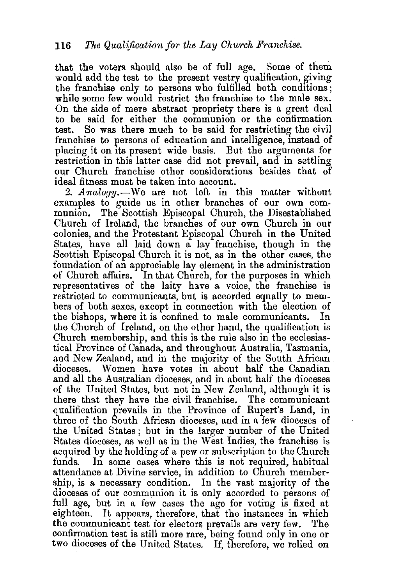that the voters should also be of full age. Some of them would add the test to the present vestry qualification, giving the franchise only to persons who fulfilled both conditions; while some few would restrict the franchise to the male sex. On the side of mere abstract propriety there is a great deal to be said for either the communion or the confirmation test. So was there much to be said for restricting the civil franchise to persons of education and intelligence, instead of placing it on Its present wide basis. But the arguments for restriction in this latter case did not prevail, and in settling our Church franchise other considerations besides that of ideal fitness must be taken into account.

2. *Analogy*.—We are not left in this matter without examples to guide us in other branches of our own communion. The Scottish Episcopal Church, the Disestablished Church of Ireland, the branches of our own Church in our colonies, and the Protestant Episcopal Church in the United States, have all laid down a lay franchise, though in the Scottish Episcopal Church it is not, as in the other cases, the foundation of an appreciable lay element in the administration of Church affairs. In that Church, for the purposes in which representatives of the laity have a voice, the franchise is restricted to communicants, but is accorded equally to members of both sexes, except in connection with the election of the bishops, where it is confined to male communicants. In the bishops, where it is confined to male communicants. the Church of Ireland, on the other hand, the qualification is Church membership, and this is the rule also in the ecclesiastical Province of Canada, and throughout Australia, Tasmania, and New Zealand, and in the majority of the South African. dioceses. Women have votes in about half the Canadian and all the Australian dioceses, and in about half the dioceses of the United States, but not in New Zealand, although it is there that they have the civil franchise. The communicant qualification prevails in the Province of Rupert's Land, in three of the South African dioceses, and in a few dioceses of the United States; but in the larger number of the United States dioceses, as well as in the West Indies, the franchise is acquired by the holding of a pew or subscription to the Church funds. In some cases where this is not required, habitual attendance at Divine service, in addition to Church membership, is a necessary condition. In the vast majority of the dioceses of our communion it is only accorded to persons of full age, but in a few cases the age for voting is fixed at eighteen. It appears, therefore, that the instances in which the communicant test for electors prevails are very few. The confirmation test is still more rare, being found only in one or two dioceses of the United States. If, therefore, we relied on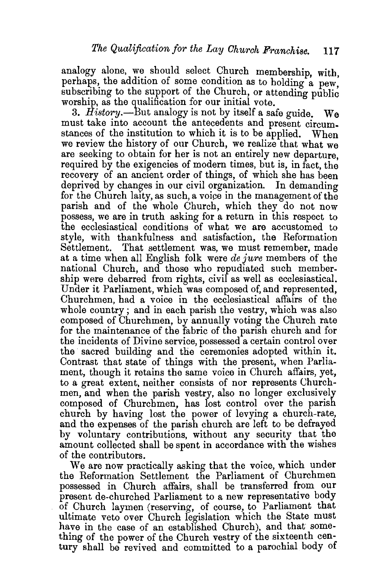analogy alone, we should select Church membership, with, perhaps, the addition of some condition as to holding a pew, subscribing to the support of the Church, or attending public worship, as the qualification for our initial vote.

3. *History.-But* analogy is not by itself a safe guide. We must take into account the antecedents and present circumstances of the institution to which it is to be applied. When we review the history of our Church, we realize that what we are seeking to obtain for her is not an entirely new departure required by the exigencies of modern times, but is, in fact, the recovery of an ancient order of things, of which she has been deprived by changes in our civil organization. In demanding for the Church la1ty, as such, a voipe in the management of the parish and of the whole Church, which they do not now possess, we are in truth asking for a return in this respect to the ecclesiastical conditions of what we are accustomed to style, with thankfulness and satisfaction, the Reformation Settlement. That settlement was, we must remember, made at a time when all English folk were *de jure* members of the national Church, and those who repudiated such membership were debarred from rights, civil as well as ecclesiastical. Under it Parliament, which was composed of, and represented, Churchmen, had a voice in the ecclesiastical affairs of the whole country; and in each parish the vestry, which was also composed of Churchmen, by annually voting the Church rate for the maintenance of the fabric of the parish church and for the incidents of Divine service, possessed a certain control over the sacred building and the ceremonies adopted within it. Contrast that state of things with the present, when Parliament, though it retains the same voice in Church affairs, yet, to a great extent, neither consists of nor represents Churchmen, and when the parish vestry, also no longer exclusively composed of Churchmen, has lost control over the parish church by having lost the power of levying a church-rate, and the expenses of the parish church are left to be defrayed by voluntary contributions, without any security that the amount collected shall be spent in accordance with the wishes of the contributors.

We are now practically asking that the voice, which under the Reformation Settlement the Parliament of Churchmen possessed in Church affairs, shall be transferred. from our present de-churched Parliament to a new representative body of Church laymen (reserving, of course, to Parliament that ultimate veto over Church legislation which the State must have in the case of an established Church), and that something of the power of the Church vestry of the sixteenth century shall be revived and committed to a parochial body of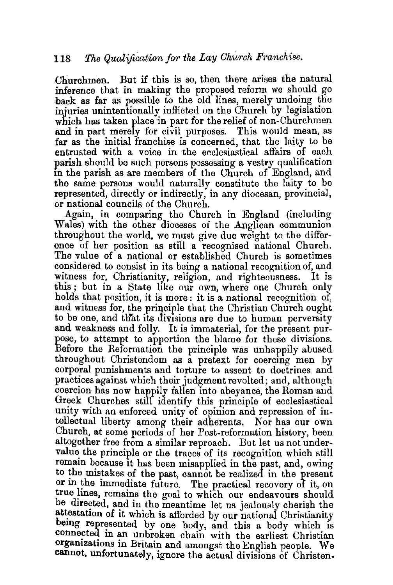Churchmen. But if this is so, then there arises the natural inference that in making the proposed reform we should go back as far as possible to the old lines, merely undoing the injuries unintentionally inflicted on the Church by legislation which has taken place in part for the relief of non-Churchmen and in part merely for civil purposes. This would mean, as far as the initial franchise is concerned, that the laity to be entrusted with a voice in the ecclesiastical affairs of each parish should be such persons possessing a vestry qualification in the parish as are members of the Church of England, and the same persons would naturally constitute the laity to be represented, directly or indirectly, in any diocesan, provincial, or national councils of the Church.

Again, in comparing the Church in England (including Wales) with the other dioceses of the Anglican communion throughout the world, we must give due weight to the difference of her position as still a recognised national Church. The value of a national or established Church is sometimes considered to consist in its being a national recognition of, and witness for, Christianity, religion, and righteousness. It is this; but in a State like our own, where one Church only holds that position, it is more: it is a national recognition of, and witness for, the principle that the Christian Church ought to be one, and that its divisions are due to human perversity and weakness and folly. It is immaterial, for the present purpose, to attempt to apportion the blame for these divisions. Before the Reformation the principle was unhappily abused throughout Christendom as a pretext for coercing men by corporal punishments and torture to assent to doctrines and practices against which their judgment revolted; and, although coercion has now happily fallen into abeyance, the Roman and Greek Churches still identify this principle of ecclesiastical unity with an enforced unity of opinion and repression of intellectual liberty among their adherents. Nor has our own Church, at some periods of her Post-reformation history, been altogether free from a similar reproach. But let us not undervalue the principle or the traces of its recognition which still remain because it has been misapplied in the past, and, owing to the mistakes of the past, cannot be realized in the present or in the immediate future. The practical recovery of it, on true lines, remains the goal to which our endeavours should be directed, and in the meantime let us jealously cherish the attestation of it which is afforded by our national Christianity being represented by one body, and this a body which is connected in an unbroken chain with the earliest Christian organizations in Britain and amongst the English people. We **cannot,** unfortunately, ignore the actual divisions of Christen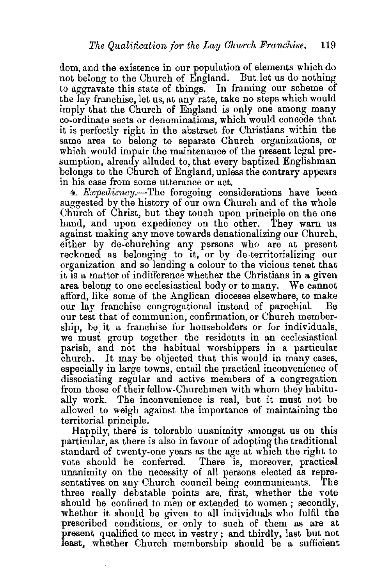dom, and the existence in our population of elements which do not belong to the Church of England. But let us do nothing to aggravate this state of things. In framing our scheme of the lay franchise, let us, at any rate, take no steps which would imply that the Church of England is only one among many co-ordinate sects or denominations, which would concede that it is perfectly right in the abstract for Christians within the same area to belong to separate Church organizations, or which would impair the maintenance of the present legal presumption, already alluded to, that every baptized Englishman belongs to the Church of England, unless the contrary appears in his case from some utterance or act.

4. *Expediency.-*The foregoing considerations have been suggested by the history of our own Church and of the whole Church of Christ, but they touch upon principle on the one hand, and upon expediency on the other. They warn us against making any move towards denationalizing our Church, etther by de-churching any persons who are at present reckoned as belonging to it, or by de-territorializing our organization and so lending a colour to the vicious tenet that it IS a matter of indifference whether the Christians in a given area belong to one ecclesiastical body or to many. We cannot afford, like some of the Anglican dioceses elsewhere, to make our lay franchise congregational instead of parochial. our test that of communion, confirmation, or Church membership, be it a franchise for householders or for individuals, we must group together the residents in an ecclesiastical parish, and not the habitual worshippers in a particular church. It may be objected that this would in many cases, especially in large towns, entail the practical inconvenience of dissociating regular and active members of a congregation from those of their fellow-Churchmen with whom they habitually work. The inconvenience is real, but it must not be allowed to weigh against the importance of maintaining the territorial principle.

Happily, there is tolerable unanimity amongst us on this particular, as there is also in favour of adopting the traditional standard of twenty-one years as the age at which the right to vote should be conferred. There is, moreover, practical unanimity on the necessity of all persons elected as representatives on any Church council being communicants. The three really debatable points are, first, whether the vote should be confined to men or extended to women; secondly, whether it should be given to all individuals who fulfil the prescribed conditions, or only to such of them as are at present qualified to meet in vestry; and thirdly, last but not least, whether Church membersbip should be a sufficient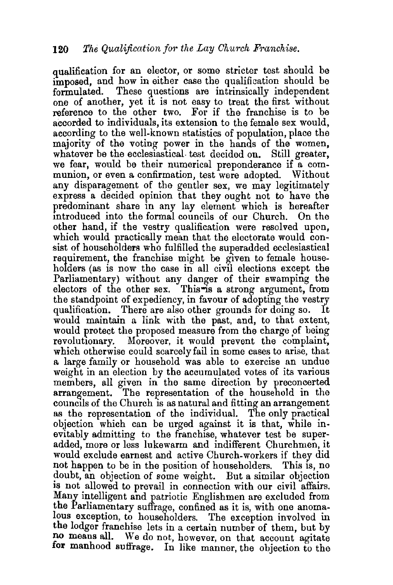qualification for an elector, or some stricter test should be imposed, and how in either case the qualification should be formulated. These questions are intrinsically independent one of another, yet it is not easy to treat the first without reference to the other two. For if the franchise is to be accorded to individuals, its extension to the female sex would, according to the well-known statistics of population, place the majority of the voting power in the hands of the women, whatever be the ecclesiastical test decided on. Still greater, we fear, would be their numerical preponderance if a communion, or even a confirmation, test were adopted. Without any disparagement of the gentler sex, we may legitimately express a decided opinion that they ought not to have the predominant share in any lay element which is hereafter<br>introduced into the formal councils of our Church. On the introduced into the formal councils of our Church. other hand, if the vestry qualification were resolved upon, which would practically mean that the electorate would consist of householders who fulfilled the superadded ecclesiastical requirement, the franchise might be given to female householders (as is now the case in all civil elections except the Parliamentary) without any danger of their swamping the electors of the other sex. This is a strong argument, from the standpoint of expediency, in favour of adopting the vestry qualification. There are also other grounds for doing so. It would maintain a link with the past, and, to that extent, would protect the proposed measure from the charge of being revolutionary. Moreover, it would prevent the complaint, which otherwise could scarcely fail in some cases to arise, that a large family or household was able to exercise an undue weight in an election by the accumulated votes of its various members, all given in the same direction by preconcerted arrangement. The representation of the household in the councils of the Church is as natural and fitting an arrangement as the representation of the individual. The only practical objection which can be urged against it is that, while inevitably admitting to the franchise, whatever test be superadded, more or less lukewarm and indifferent Churchmen, it would exclude earnest and active Church-workers if they did not happen to be in the position of householders. This is, no doubt, an objection of some weight. But a similar objection is not allowed to prevail in connection with our civil affairs. Many intelligent and patriotic Englishmen are excluded from the Parliamentary suffrage, confined as it is, with one anomalous exception, to householders. The exception involved in the lodger franchise lets in a certain number of them, but by no means all. We do not, however, on that account agitate **for** manhood suffrage. In like manner, the objection to the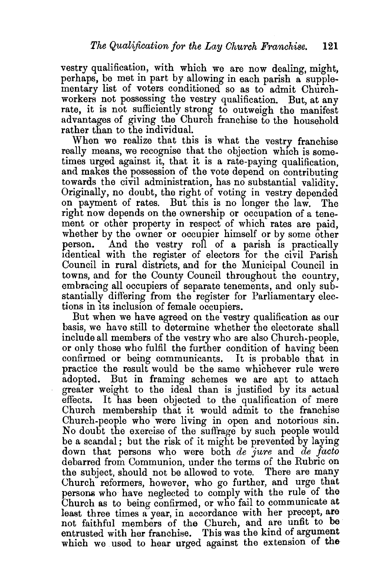vestry qualification, with which we are now dealing, might, perhaps, be met in part by allowing in each parish a supplementary list of voters conditioned so as to admit Churchworkers not possessing the vestry qualification. But, at any rate, it is not sufficiently strong to outweigh the manifest advantages of giving the Church franchise to the household rather than to the individual.

When we realize that this is what the vestry franchise really means, we recognise that the objection which is sometimes urged against it, that it is a rate-paying qualification, and makes the possession of the vote depend on contributing towards the civil administration, has no substantial validity. Originally, no doubt, the right of voting in vestry depended on payment of rates. But this is no longer the law. The right now depends on the ownership or occupation of a tenement or other property in respect of which rates are paid, whether by the owner or occupier himself or by some other person. And the vestry roll of a parish is practically identical with the register of electors for the civil Parish Council in rural districts, and for the Municipal Council in towns, and for the County Council throughout the country, embracing all occupiers of separate tenements, and only substantially differing from the register for Parliamentary elections in its inclusion of female occupiers.

But when we have agreed on the vestry qualification as our basis, we have still to determine whether the electorate shall include all members of the vestry who are also Church-people, or only those who fulfil the further condition of having been confirmed or being communicants. It is probable that in practice the result would be the same whichever rule were adopted. But in framing schemes we are apt to attach greater weight to the ideal than is justified by its actual effects. It has been objected to the qualification of mere Church membership that it would admit to the franchise Church-people who were living in open and notorious sin. No doubt the exercise of the suffrage by such people would be a scandal; but the risk of it might be prevented by laying down that persons who were both *de jure* and *de facto*  debarred from Communion, under the terms of the Rubric on the subject, should not be allowed to vote. There are many Church reformers, however, who go further, and urge that persons who have neglected to comply with the rule of the Church as to being confirmed, or who fail to communicate at least three times a year, in accordance with her precept, are not faithful members of the Church, and are unfit to be entrusted with her franchise. This was the kind of argument which we used to hear urged against the extension of the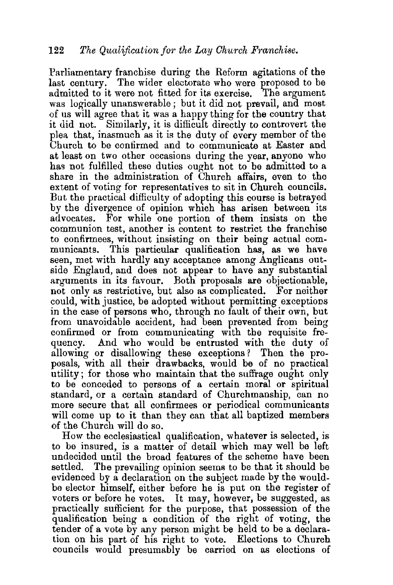Parliamentary franchise during the Reform agitations of the last century. The wider electorate who were proposed to be admitted to it were not fitted for its exercise. The argument was logically unanswerable ; but it did not prevail, and most of us will agree that it was a happy thing for the country that it did not. Similarly, it is difficult directly to controvert the plea that, inasmuch as it is the duty of every member of the Church to be confirmed and to communicate at Easter and at least on two other occasions during the year, anyone who has not fulfilled these duties ought not to be admitted to a share in the administration of Church affairs, even to the extent of voting for representatives to sit in Church councils. But the practical difficulty of adopting this course is betrayed by the divergence of opinion which has arisen between its advocates. For while one portion of them insists on the communion test, another is content to restrict the franchise to confirmees, without insisting on their being actual com-This particular qualification has, as we have seen, met with hardly any acceptance among Anglicans outside England, and does not appear to have any substantial arguments in its favour. Both proposals are objectionable, not only as restrictive, but also as complicated. For neither could, with justice, be adopted without permitting exceptions in the case of persons who, through no fault of their own, but from unavoidable accident, had been prevented from being confirmed or from communicating with the requisite frequency. And who would be entrusted with the duty of allowing or disallowing these exceptions ? Then the proposals, with all their drawbacks, would be of no practical utility; for those who maintain that the suffrage ought only to be conceded to persons of a certain moral or spiritual standard, or a certain standard of Churchmanship, can no more secure that all confirmees or periodical communicants will come up to it than they can that all baptized members of the Church will do so.

How the ecclesiastical qualification, whatever is selected, is to be insured, is a matter of detail which may well be left undecided until the broad features of the scheme have been settled. The prevailing opinion seems to be that it should be evidenced by a declaration on the subject made by the wouldbe elector himself, either before he is put on the register of voters or before he votes. It may, however, be suggested, as practically sufficient for the purpose, that possession of the qualification being a condition of the right of voting, the tender of a vote by any person might be held to be a declaration on his part of his right to vote. Elections to Church councils would presumably be carried on as elections of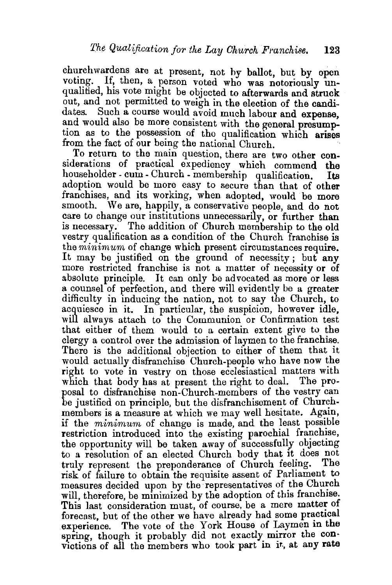churchwardens are at present, not by ballot, but by open voting. If, then, a person voted who was notoriously unqualified, his vote might be objected to afterwards and struck out, and not permitted to weigh in the election of the candidates. Such a course would avoid much labour and expense, and would also be more consistent with the general presumption as to the possession of the qualification which arises from the fact of our being the national Church.

To return to the main question, there are two other considerations of practical expediency which commend the householder - cum - Church - membership qualification. Its adoption would be more easy to secure than that of other franchises, and its working, when adopted, would be more smooth. We are, happily, a conservative people, and do not care to change our institutions unnecessarily, or further than is necessary. The addition of Church membership to the old vestry qualification as a condition of the Church franchise is the *minimum* of change which present circumstances require. It may be justified on the ground of necessity; but any more restricted franchise is not a matter of necessity or of absolute principle. It can only be advocated as more or less a counsel of perfection, and there will evidently be a greater difficulty in inducing the nation, not to say the Church, to acquiesce in it. In particular, the suspicion, however idle, will always attach to the Communion or Confirmation test that either of them would to a certain extent give to the clergy a control over the admission of laymen to the franchise. There is the additional objection to either of them that it would actually disfranchise Church-people who have now the right to vote in vestry on those ecclesiastical matters with which that body has at present the right to deal. The proposal to disfranchise non-Church-members of the vestry can be justified on principle, but the disfranchisement of Churchmembers is a measure at which we may well hesitate. Again, if the *minimum* of change is made, and the least possible restriction introduced into the existing parochial franchise, the opportunity will be taken away of successfully objecting to a resolution of an elected Church body that it does not truly represent the preponderance of Church feeling. The risk of failure to obtain the requisite assent of Parliament to measures decided upon by the representatives of the Church will, therefore, be minimized by the adoption of this franchise. This last consideration must, of course, be a mere matter of forecast, but of the other we have already had some practical experience. The vote of the York House of Laymen in the spring, though it probably did not exactly mirror the convictions of all the members who took part in it, at any rate